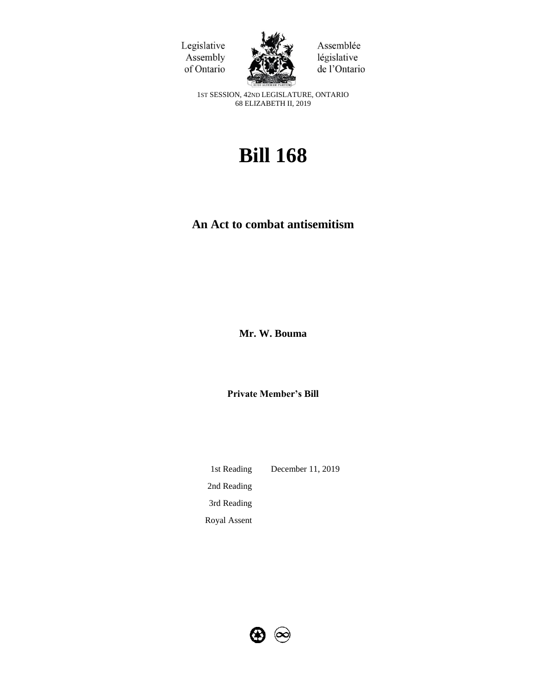Legislative Assembly of Ontario



Assemblée législative de l'Ontario

1ST SESSION, 42ND LEGISLATURE, ONTARIO 68 ELIZABETH II, 2019

# **Bill 168**

# **An Act to combat antisemitism**

**Mr. W. Bouma**

**Private Member's Bill**

1st Reading December 11, 2019 2nd Reading 3rd Reading Royal Assent